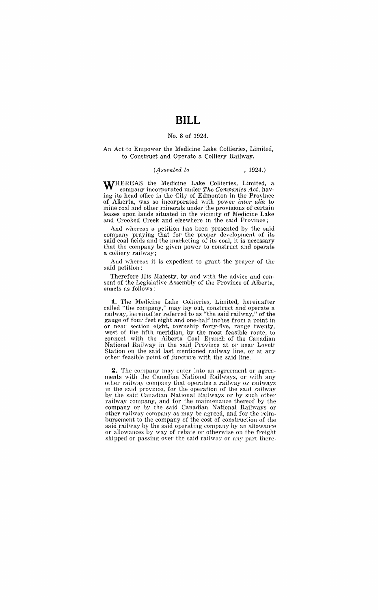# **BILL**

#### No.8 of 1924.

#### An Act to Empower the Medicine Lake Collieries, Limited, to Construct and Operate a Colliery Railway.

### *(1ssented to* , 1924.)

WHEREAS the Medicine Lake Collieries, Limited, a company incorporated under *The Companies Act,* having its head office in the City of Edmonton in the Province of Alberta, was so incorporated with power *inter alia* to mine coal and other minerals under the provisions of certain leases upon lands situated in the vicinity of Medicine Lake and Crooked Creek and elsewhere in the said Province;

And whereas a petition has been presented by the said company praying that for the proper development of its said coal fields and the marketing of its coal, it is necessary that the company be given power to construct and operate a colliery railway;

And whereas it is expedient to grant the prayer of the said petition;

Therefore His Majesty, by and with the advice and consent of the Legislative Assembly of the Province of Alberta, enacts as follows:

**1.** The Medicine Lake Collieries, Limited, hereinafter called "the company," may lay out, construct and operate a railway, hereinafter referred to as "the said railway," of the gauge of four feet eight and one-half inches from a point in or near section eight, township forty-five, range twenty, west of the fifth meridian, by the most feasible route, to connect with the Alberta Coal Branch of the Canadian National Railway in the said Province at or near Lovett Station on the said last mentioned railway line, or at any other feasible point of juncture with the said line.

**2.** The company may enter into an agreement or agreements with the Canadian National Railways, or with any other railway company that operates a railway or railways in the said province, for the operation of the said railway by the said Canadian National Railways or by such other railway company, and for the maintenance thereof by the company or by the said Canadian National Railways or other railway company as may be agreed, and for the reimbursement to the company of the cost of construction of the said railway by the said operating company by an allowance or allowances by way of rebate or otherwise on the freight shipped or passing over the said railway or any part there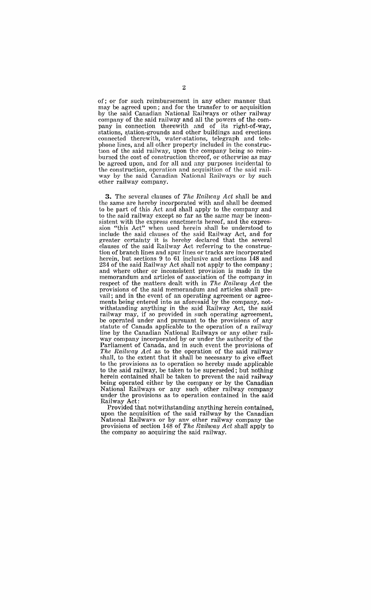of; or for such reimbursement in any other manner that may be agreed upon; and for the transfer to or acquisition by the said Canadian National Railways or other railway company of the said railway and all the powers of the company in connection therewith and of its right-of-way, stations, station-grounds and other buildings and erections connected therewith, water-stations, telegraph and telephone lines, and all other property included in the construction of the said railway, upon the company being so reimbursed the cost of construction thereof, or otherwise as may be agreed upon, and for all and any purposes incidental to the construction, operation and acquisition of the said railway by the said Canadian National Railways or by such other railway company.

**3.** The several clauses of The Railway Act shall be and the same are hereby incorporated with and shall be deemed to be part of this Act and shall apply to the company and to the said railway except so far as the same may be inconsistent with the express enactments hereof, and the expression "this Act" when used herein shall be understood to include the said clauses of the said Railway Act, and for greater certainty it is hereby declared that the several clauses of the said Railway Act referring to the construction of branch lines and spur lines or tracks are incorporated herein, but sections 9 to 61 inclusive and sections 148 and 234 of the said Railway Act shall not apply to the company; and where other or inconsistent provision is made in the memorandum and articles of association of the company in respect of the matters dealt with in The Railway  $Act$  the provisions of the said memorandum and articles shall prevail; and in the event of an operating agreement or agreements being entered into as aforesaid by the company, notwithstanding anything in the said Railway Act, the said railway may, if so provided in such operating agreement, be operated under and pursuant to the provisions of any statute of Canada applicable to the operation of a railway line by the Canadian National Railways or any other railway company incorporated by or under the authority of the Parliament of Canada, and in such event the provisions of The Railway Act as to the operation of the said railway shall, to the extent that it shall be necessary to give effect to the provisions as to operation so hereby made applicable to the said railway, be taken to be superseded; but nothing herein contained shall be taken to prevent the said railway being operated either by the company or by the Canadian National Railways or any such other railway company under the provisions as to operation contained in the said Railway Act:

Provided that notwithstanding anything herein contained, upon the acquisition of the said railway by the Canadian National Railwavs or by any other railway company the provisions of section 148 of The Railway Act shall apply to the company so acquiring the said railway.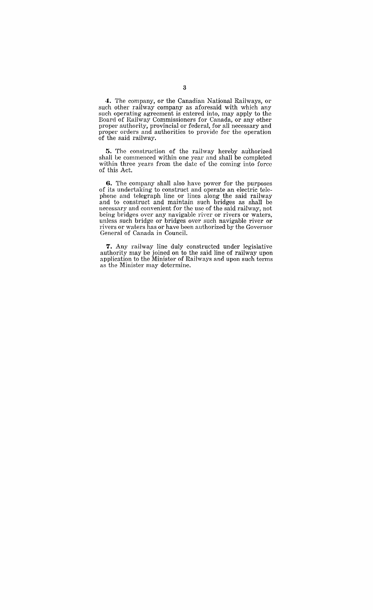**4.** The company, or the Canadian National Railways, or such other railway company as aforesaid with which any such operating agreement is entered into, may apply to the Board of Railway Commissioners for Canada, or any other proper authority, provincial or federal, for all necessary and proper orders and authorities to provide for the operation of the said railway.

**5.** The construction of the railway hereby authorized shall be commenced within one year and shall be completed within three years from the date of the coming into force of this Act.

**6.** The company shall also have power for the purposes of its undertaking to construct and operate an electric telephone and telegraph line or lines along the said railway and to construct and maintain such bridges as shall be necessary and convenient for the use of the said railway, not being bridges over any navigable river or rivers or waters, unless such bridge or bridges over such navigable river or rivers or waters has or have been authorized by the Governor General of Canada in Council.

**7.** Any railway line duly constructed under legislative authority may be joined on to the said line of railway upon application to the Minister of Railways and upon such terms as the Minister may determine.